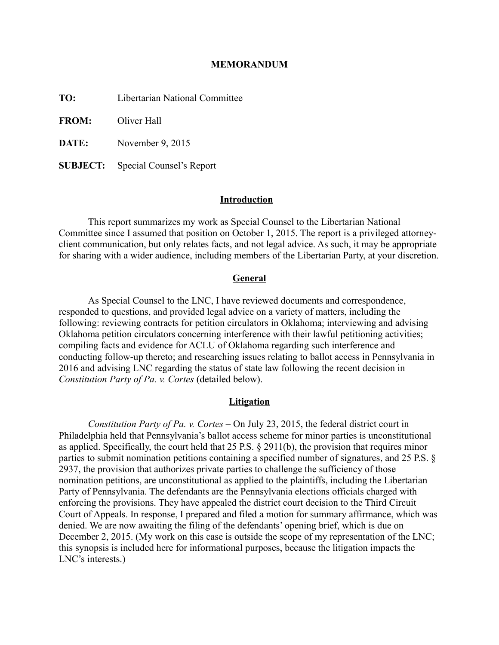#### **MEMORANDUM**

**TO:** Libertarian National Committee

**FROM:** Oliver Hall

**DATE:** November 9, 2015

**SUBJECT:** Special Counsel's Report

# **Introduction**

This report summarizes my work as Special Counsel to the Libertarian National Committee since I assumed that position on October 1, 2015. The report is a privileged attorneyclient communication, but only relates facts, and not legal advice. As such, it may be appropriate for sharing with a wider audience, including members of the Libertarian Party, at your discretion.

## **General**

As Special Counsel to the LNC, I have reviewed documents and correspondence, responded to questions, and provided legal advice on a variety of matters, including the following: reviewing contracts for petition circulators in Oklahoma; interviewing and advising Oklahoma petition circulators concerning interference with their lawful petitioning activities; compiling facts and evidence for ACLU of Oklahoma regarding such interference and conducting follow-up thereto; and researching issues relating to ballot access in Pennsylvania in 2016 and advising LNC regarding the status of state law following the recent decision in *Constitution Party of Pa. v. Cortes* (detailed below).

#### **Litigation**

*Constitution Party of Pa. v. Cortes –* On July 23, 2015, the federal district court in Philadelphia held that Pennsylvania's ballot access scheme for minor parties is unconstitutional as applied. Specifically, the court held that 25 P.S. § 2911(b), the provision that requires minor parties to submit nomination petitions containing a specified number of signatures, and 25 P.S. § 2937, the provision that authorizes private parties to challenge the sufficiency of those nomination petitions, are unconstitutional as applied to the plaintiffs, including the Libertarian Party of Pennsylvania. The defendants are the Pennsylvania elections officials charged with enforcing the provisions. They have appealed the district court decision to the Third Circuit Court of Appeals. In response, I prepared and filed a motion for summary affirmance, which was denied. We are now awaiting the filing of the defendants' opening brief, which is due on December 2, 2015. (My work on this case is outside the scope of my representation of the LNC; this synopsis is included here for informational purposes, because the litigation impacts the LNC's interests.)